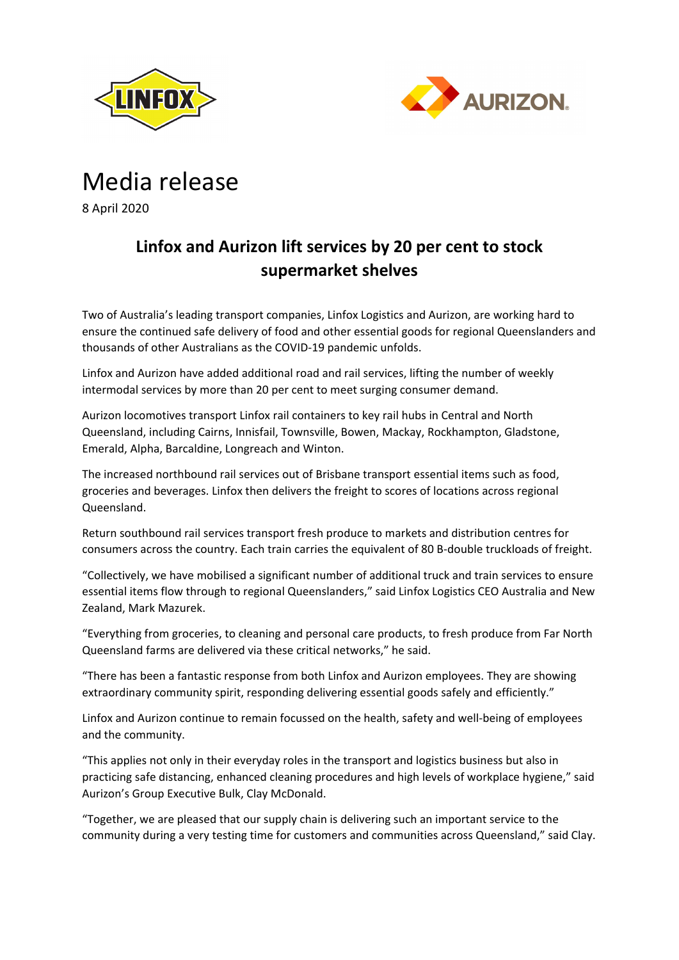



## Media release

8 April 2020

## **Linfox and Aurizon lift services by 20 per cent to stock supermarket shelves**

Two of Australia's leading transport companies, Linfox Logistics and Aurizon, are working hard to ensure the continued safe delivery of food and other essential goods for regional Queenslanders and thousands of other Australians as the COVID-19 pandemic unfolds.

Linfox and Aurizon have added additional road and rail services, lifting the number of weekly intermodal services by more than 20 per cent to meet surging consumer demand.

Aurizon locomotives transport Linfox rail containers to key rail hubs in Central and North Queensland, including Cairns, Innisfail, Townsville, Bowen, Mackay, Rockhampton, Gladstone, Emerald, Alpha, Barcaldine, Longreach and Winton.

The increased northbound rail services out of Brisbane transport essential items such as food, groceries and beverages. Linfox then delivers the freight to scores of locations across regional Queensland.

Return southbound rail services transport fresh produce to markets and distribution centres for consumers across the country. Each train carries the equivalent of 80 B-double truckloads of freight.

"Collectively, we have mobilised a significant number of additional truck and train services to ensure essential items flow through to regional Queenslanders," said Linfox Logistics CEO Australia and New Zealand, Mark Mazurek.

"Everything from groceries, to cleaning and personal care products, to fresh produce from Far North Queensland farms are delivered via these critical networks," he said.

"There has been a fantastic response from both Linfox and Aurizon employees. They are showing extraordinary community spirit, responding delivering essential goods safely and efficiently."

Linfox and Aurizon continue to remain focussed on the health, safety and well-being of employees and the community.

"This applies not only in their everyday roles in the transport and logistics business but also in practicing safe distancing, enhanced cleaning procedures and high levels of workplace hygiene," said Aurizon's Group Executive Bulk, Clay McDonald.

"Together, we are pleased that our supply chain is delivering such an important service to the community during a very testing time for customers and communities across Queensland," said Clay.